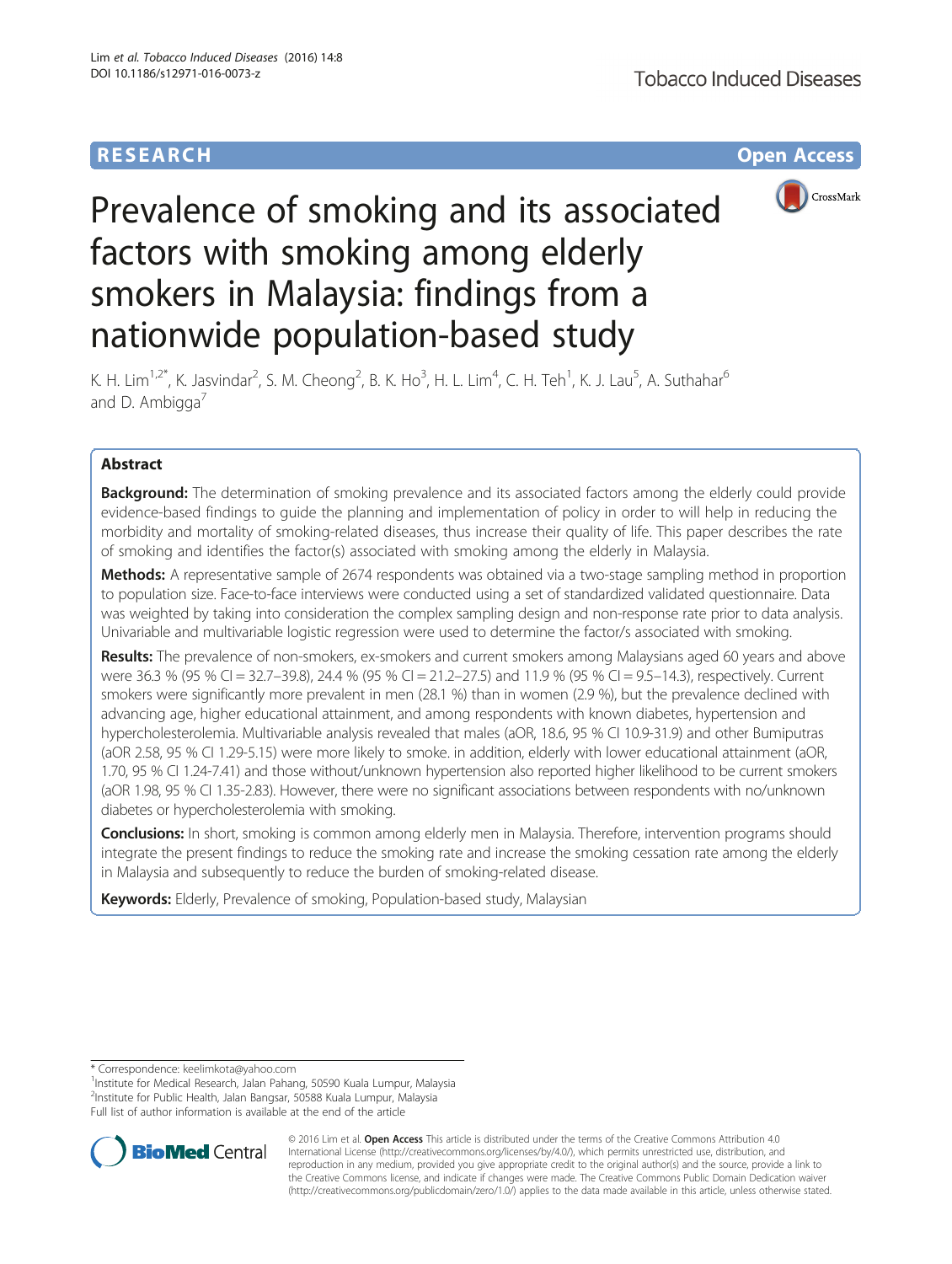# **RESEARCH CHE Open Access**



# Prevalence of smoking and its associated factors with smoking among elderly smokers in Malaysia: findings from a nationwide population-based study

K. H. Lim<sup>1,2\*</sup>, K. Jasvindar<sup>2</sup>, S. M. Cheong<sup>2</sup>, B. K. Ho<sup>3</sup>, H. L. Lim<sup>4</sup>, C. H. Teh<sup>1</sup>, K. J. Lau<sup>5</sup>, A. Suthahar<sup>6</sup> and D. Ambigga $^7$ 

# Abstract

**Background:** The determination of smoking prevalence and its associated factors among the elderly could provide evidence-based findings to guide the planning and implementation of policy in order to will help in reducing the morbidity and mortality of smoking-related diseases, thus increase their quality of life. This paper describes the rate of smoking and identifies the factor(s) associated with smoking among the elderly in Malaysia.

Methods: A representative sample of 2674 respondents was obtained via a two-stage sampling method in proportion to population size. Face-to-face interviews were conducted using a set of standardized validated questionnaire. Data was weighted by taking into consideration the complex sampling design and non-response rate prior to data analysis. Univariable and multivariable logistic regression were used to determine the factor/s associated with smoking.

Results: The prevalence of non-smokers, ex-smokers and current smokers among Malaysians aged 60 years and above were 36.3 % (95 % CI = 32.7–39.8), 24.4 % (95 % CI = 21.2–27.5) and 11.9 % (95 % CI = 9.5–14.3), respectively. Current smokers were significantly more prevalent in men (28.1 %) than in women (2.9 %), but the prevalence declined with advancing age, higher educational attainment, and among respondents with known diabetes, hypertension and hypercholesterolemia. Multivariable analysis revealed that males (aOR, 18.6, 95 % CI 10.9-31.9) and other Bumiputras (aOR 2.58, 95 % CI 1.29-5.15) were more likely to smoke. in addition, elderly with lower educational attainment (aOR, 1.70, 95 % CI 1.24-7.41) and those without/unknown hypertension also reported higher likelihood to be current smokers (aOR 1.98, 95 % CI 1.35-2.83). However, there were no significant associations between respondents with no/unknown diabetes or hypercholesterolemia with smoking.

**Conclusions:** In short, smoking is common among elderly men in Malaysia. Therefore, intervention programs should integrate the present findings to reduce the smoking rate and increase the smoking cessation rate among the elderly in Malaysia and subsequently to reduce the burden of smoking-related disease.

Keywords: Elderly, Prevalence of smoking, Population-based study, Malaysian

<sup>&</sup>lt;sup>1</sup>Institute for Medical Research, Jalan Pahang, 50590 Kuala Lumpur, Malaysia 2 Institute for Public Health, Jalan Bangsar, 50588 Kuala Lumpur, Malaysia Full list of author information is available at the end of the article



© 2016 Lim et al. Open Access This article is distributed under the terms of the Creative Commons Attribution 4.0 International License [\(http://creativecommons.org/licenses/by/4.0/](http://creativecommons.org/licenses/by/4.0/)), which permits unrestricted use, distribution, and reproduction in any medium, provided you give appropriate credit to the original author(s) and the source, provide a link to the Creative Commons license, and indicate if changes were made. The Creative Commons Public Domain Dedication waiver [\(http://creativecommons.org/publicdomain/zero/1.0/](http://creativecommons.org/publicdomain/zero/1.0/)) applies to the data made available in this article, unless otherwise stated.

<sup>\*</sup> Correspondence: [keelimkota@yahoo.com](mailto:keelimkota@yahoo.com) <sup>1</sup>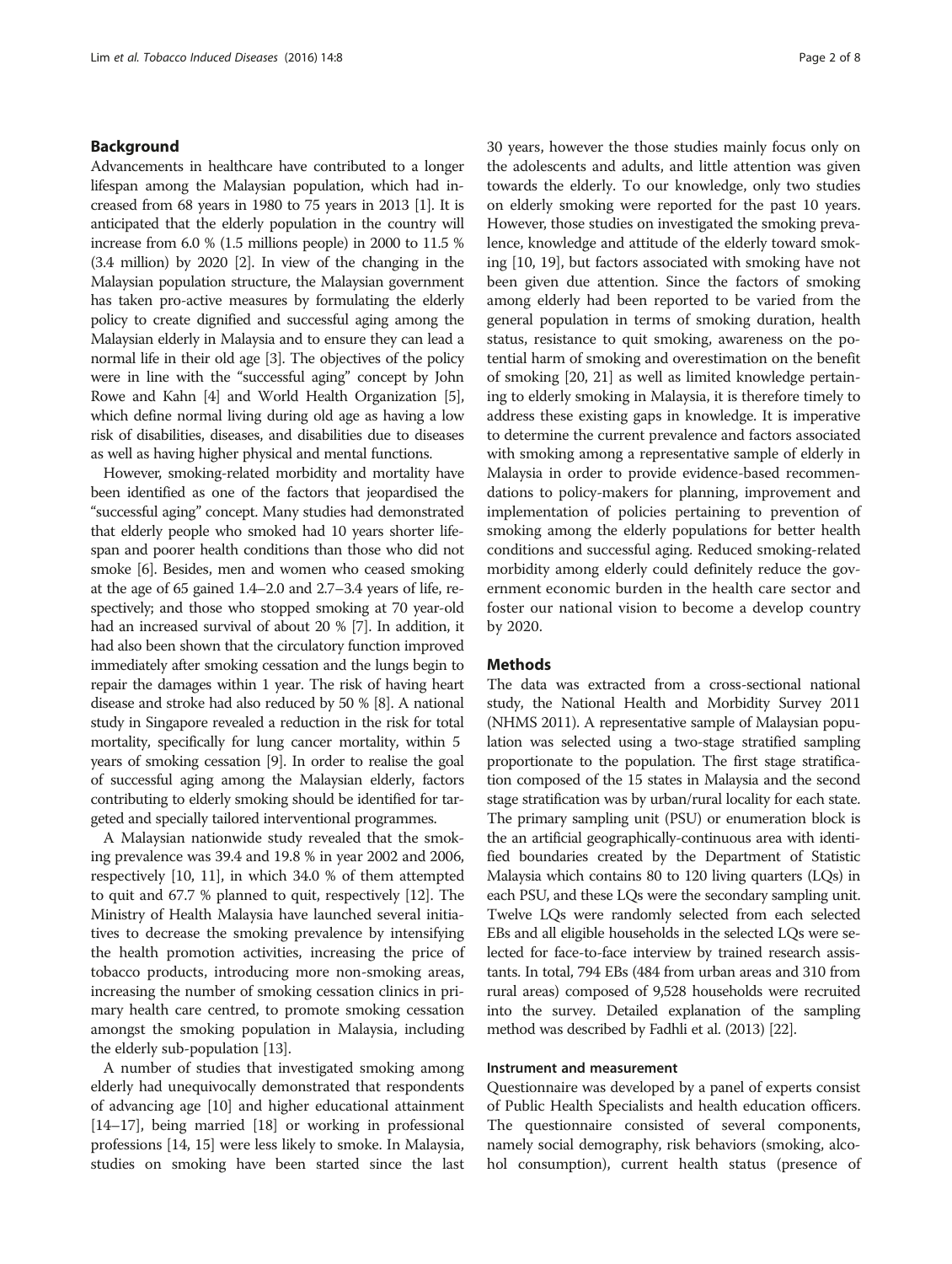## Background

Advancements in healthcare have contributed to a longer lifespan among the Malaysian population, which had increased from 68 years in 1980 to 75 years in 2013 [\[1\]](#page-6-0). It is anticipated that the elderly population in the country will increase from 6.0 % (1.5 millions people) in 2000 to 11.5 % (3.4 million) by 2020 [[2](#page-6-0)]. In view of the changing in the Malaysian population structure, the Malaysian government has taken pro-active measures by formulating the elderly policy to create dignified and successful aging among the Malaysian elderly in Malaysia and to ensure they can lead a normal life in their old age [[3](#page-6-0)]. The objectives of the policy were in line with the "successful aging" concept by John Rowe and Kahn [\[4\]](#page-6-0) and World Health Organization [[5](#page-6-0)], which define normal living during old age as having a low risk of disabilities, diseases, and disabilities due to diseases as well as having higher physical and mental functions.

However, smoking-related morbidity and mortality have been identified as one of the factors that jeopardised the "successful aging" concept. Many studies had demonstrated that elderly people who smoked had 10 years shorter lifespan and poorer health conditions than those who did not smoke [[6](#page-6-0)]. Besides, men and women who ceased smoking at the age of 65 gained 1.4–2.0 and 2.7–3.4 years of life, respectively; and those who stopped smoking at 70 year-old had an increased survival of about 20 % [\[7\]](#page-6-0). In addition, it had also been shown that the circulatory function improved immediately after smoking cessation and the lungs begin to repair the damages within 1 year. The risk of having heart disease and stroke had also reduced by 50 % [[8](#page-6-0)]. A national study in Singapore revealed a reduction in the risk for total mortality, specifically for lung cancer mortality, within 5 years of smoking cessation [[9](#page-6-0)]. In order to realise the goal of successful aging among the Malaysian elderly, factors contributing to elderly smoking should be identified for targeted and specially tailored interventional programmes.

A Malaysian nationwide study revealed that the smoking prevalence was 39.4 and 19.8 % in year 2002 and 2006, respectively [\[10, 11](#page-6-0)], in which 34.0 % of them attempted to quit and 67.7 % planned to quit, respectively [\[12](#page-6-0)]. The Ministry of Health Malaysia have launched several initiatives to decrease the smoking prevalence by intensifying the health promotion activities, increasing the price of tobacco products, introducing more non-smoking areas, increasing the number of smoking cessation clinics in primary health care centred, to promote smoking cessation amongst the smoking population in Malaysia, including the elderly sub-population [[13](#page-6-0)].

A number of studies that investigated smoking among elderly had unequivocally demonstrated that respondents of advancing age [[10](#page-6-0)] and higher educational attainment [[14](#page-7-0)–[17\]](#page-7-0), being married [\[18\]](#page-7-0) or working in professional professions [\[14](#page-7-0), [15\]](#page-7-0) were less likely to smoke. In Malaysia, studies on smoking have been started since the last 30 years, however the those studies mainly focus only on the adolescents and adults, and little attention was given towards the elderly. To our knowledge, only two studies on elderly smoking were reported for the past 10 years. However, those studies on investigated the smoking prevalence, knowledge and attitude of the elderly toward smoking [\[10,](#page-6-0) [19\]](#page-7-0), but factors associated with smoking have not been given due attention. Since the factors of smoking among elderly had been reported to be varied from the general population in terms of smoking duration, health status, resistance to quit smoking, awareness on the potential harm of smoking and overestimation on the benefit of smoking [\[20, 21\]](#page-7-0) as well as limited knowledge pertaining to elderly smoking in Malaysia, it is therefore timely to address these existing gaps in knowledge. It is imperative to determine the current prevalence and factors associated with smoking among a representative sample of elderly in Malaysia in order to provide evidence-based recommendations to policy-makers for planning, improvement and implementation of policies pertaining to prevention of smoking among the elderly populations for better health conditions and successful aging. Reduced smoking-related morbidity among elderly could definitely reduce the government economic burden in the health care sector and foster our national vision to become a develop country by 2020.

#### Methods

The data was extracted from a cross-sectional national study, the National Health and Morbidity Survey 2011 (NHMS 2011). A representative sample of Malaysian population was selected using a two-stage stratified sampling proportionate to the population. The first stage stratification composed of the 15 states in Malaysia and the second stage stratification was by urban/rural locality for each state. The primary sampling unit (PSU) or enumeration block is the an artificial geographically-continuous area with identified boundaries created by the Department of Statistic Malaysia which contains 80 to 120 living quarters (LQs) in each PSU, and these LQs were the secondary sampling unit. Twelve LQs were randomly selected from each selected EBs and all eligible households in the selected LQs were selected for face-to-face interview by trained research assistants. In total, 794 EBs (484 from urban areas and 310 from rural areas) composed of 9,528 households were recruited into the survey. Detailed explanation of the sampling method was described by Fadhli et al. (2013) [\[22\]](#page-7-0).

#### Instrument and measurement

Questionnaire was developed by a panel of experts consist of Public Health Specialists and health education officers. The questionnaire consisted of several components, namely social demography, risk behaviors (smoking, alcohol consumption), current health status (presence of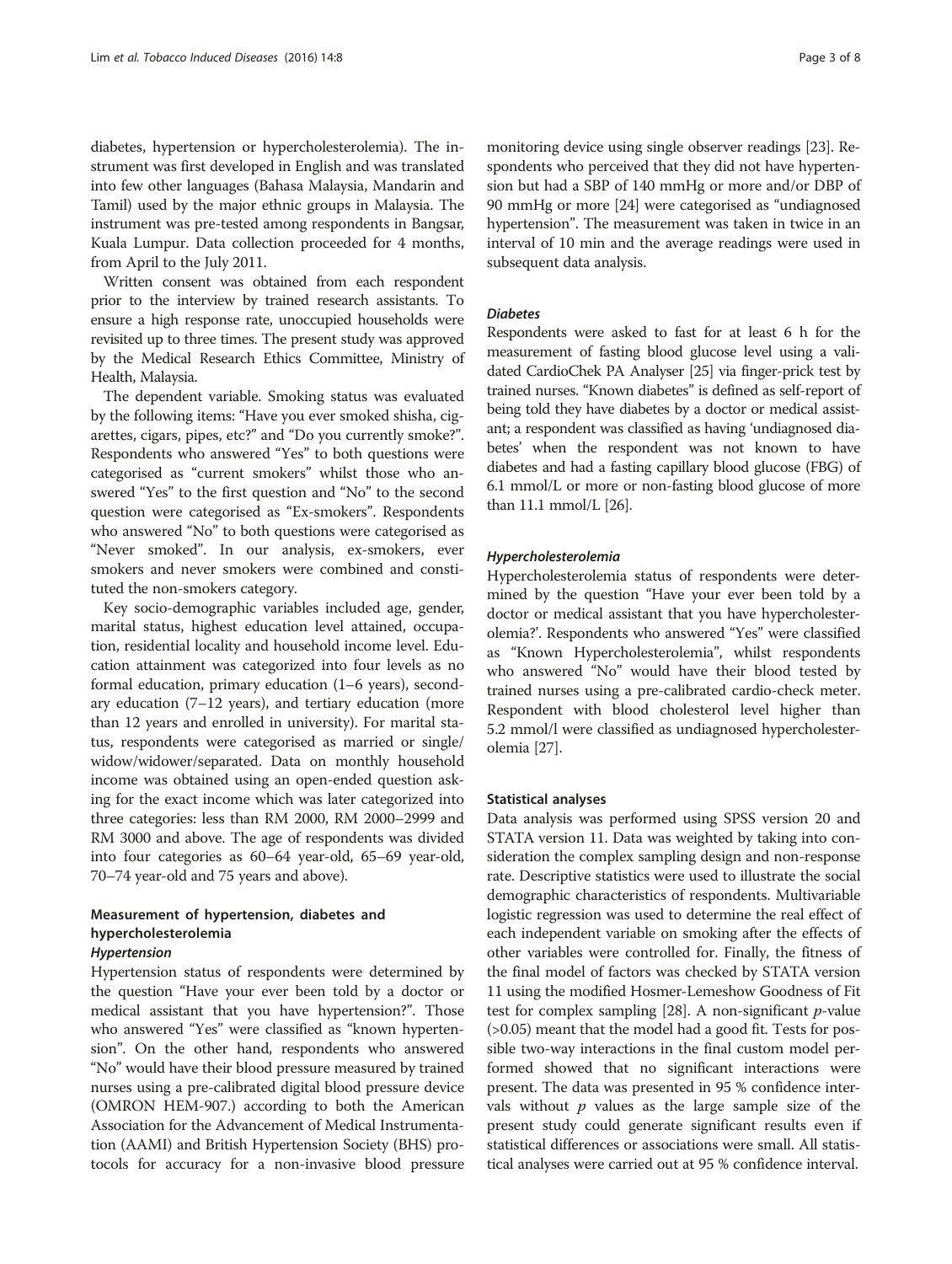diabetes, hypertension or hypercholesterolemia). The instrument was first developed in English and was translated into few other languages (Bahasa Malaysia, Mandarin and Tamil) used by the major ethnic groups in Malaysia. The instrument was pre-tested among respondents in Bangsar, Kuala Lumpur. Data collection proceeded for 4 months, from April to the July 2011.

Written consent was obtained from each respondent prior to the interview by trained research assistants. To ensure a high response rate, unoccupied households were revisited up to three times. The present study was approved by the Medical Research Ethics Committee, Ministry of Health, Malaysia.

The dependent variable. Smoking status was evaluated by the following items: "Have you ever smoked shisha, cigarettes, cigars, pipes, etc?" and "Do you currently smoke?". Respondents who answered "Yes" to both questions were categorised as "current smokers" whilst those who answered "Yes" to the first question and "No" to the second question were categorised as "Ex-smokers". Respondents who answered "No" to both questions were categorised as "Never smoked". In our analysis, ex-smokers, ever smokers and never smokers were combined and constituted the non-smokers category.

Key socio-demographic variables included age, gender, marital status, highest education level attained, occupation, residential locality and household income level. Education attainment was categorized into four levels as no formal education, primary education (1–6 years), secondary education (7–12 years), and tertiary education (more than 12 years and enrolled in university). For marital status, respondents were categorised as married or single/ widow/widower/separated. Data on monthly household income was obtained using an open-ended question asking for the exact income which was later categorized into three categories: less than RM 2000, RM 2000–2999 and RM 3000 and above. The age of respondents was divided into four categories as 60–64 year-old, 65–69 year-old, 70–74 year-old and 75 years and above).

# Measurement of hypertension, diabetes and hypercholesterolemia

## Hypertension

Hypertension status of respondents were determined by the question "Have your ever been told by a doctor or medical assistant that you have hypertension?". Those who answered "Yes" were classified as "known hypertension". On the other hand, respondents who answered "No" would have their blood pressure measured by trained nurses using a pre-calibrated digital blood pressure device (OMRON HEM-907.) according to both the American Association for the Advancement of Medical Instrumentation (AAMI) and British Hypertension Society (BHS) protocols for accuracy for a non-invasive blood pressure monitoring device using single observer readings [\[23\]](#page-7-0). Respondents who perceived that they did not have hypertension but had a SBP of 140 mmHg or more and/or DBP of 90 mmHg or more [[24](#page-7-0)] were categorised as "undiagnosed hypertension". The measurement was taken in twice in an interval of 10 min and the average readings were used in subsequent data analysis.

#### **Diahetes**

Respondents were asked to fast for at least 6 h for the measurement of fasting blood glucose level using a validated CardioChek PA Analyser [\[25\]](#page-7-0) via finger-prick test by trained nurses. "Known diabetes" is defined as self-report of being told they have diabetes by a doctor or medical assistant; a respondent was classified as having 'undiagnosed diabetes' when the respondent was not known to have diabetes and had a fasting capillary blood glucose (FBG) of 6.1 mmol/L or more or non-fasting blood glucose of more than 11.1 mmol/L [\[26\]](#page-7-0).

## Hypercholesterolemia

Hypercholesterolemia status of respondents were determined by the question "Have your ever been told by a doctor or medical assistant that you have hypercholesterolemia?'. Respondents who answered "Yes" were classified as "Known Hypercholesterolemia", whilst respondents who answered "No" would have their blood tested by trained nurses using a pre-calibrated cardio-check meter. Respondent with blood cholesterol level higher than 5.2 mmol/l were classified as undiagnosed hypercholesterolemia [\[27\]](#page-7-0).

#### Statistical analyses

Data analysis was performed using SPSS version 20 and STATA version 11. Data was weighted by taking into consideration the complex sampling design and non-response rate. Descriptive statistics were used to illustrate the social demographic characteristics of respondents. Multivariable logistic regression was used to determine the real effect of each independent variable on smoking after the effects of other variables were controlled for. Finally, the fitness of the final model of factors was checked by STATA version 11 using the modified Hosmer-Lemeshow Goodness of Fit test for complex sampling  $[28]$ . A non-significant *p*-value (>0.05) meant that the model had a good fit. Tests for possible two-way interactions in the final custom model performed showed that no significant interactions were present. The data was presented in 95 % confidence intervals without  $p$  values as the large sample size of the present study could generate significant results even if statistical differences or associations were small. All statistical analyses were carried out at 95 % confidence interval.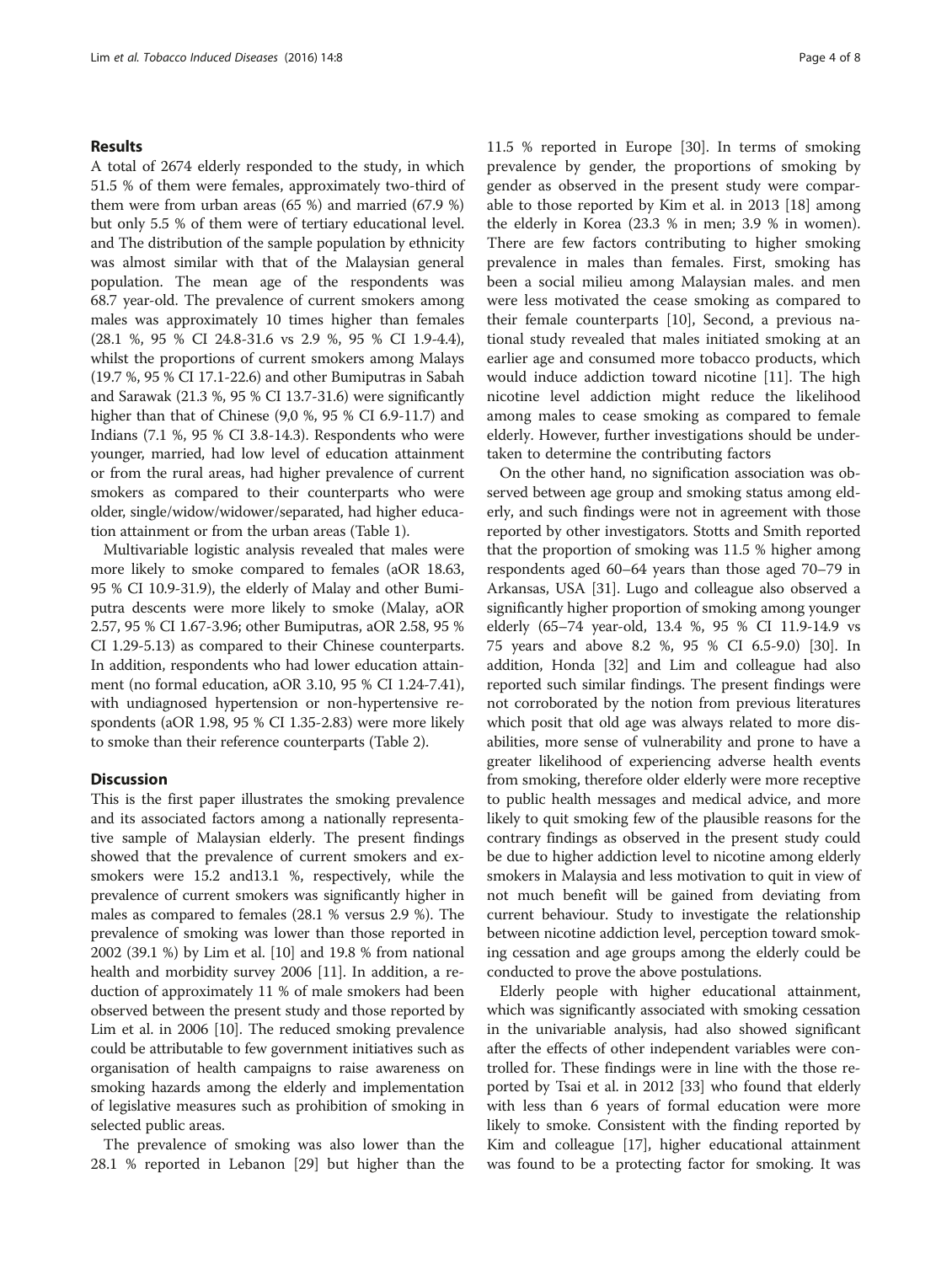## Results

A total of 2674 elderly responded to the study, in which 51.5 % of them were females, approximately two-third of them were from urban areas (65 %) and married (67.9 %) but only 5.5 % of them were of tertiary educational level. and The distribution of the sample population by ethnicity was almost similar with that of the Malaysian general population. The mean age of the respondents was 68.7 year-old. The prevalence of current smokers among males was approximately 10 times higher than females (28.1 %, 95 % CI 24.8-31.6 vs 2.9 %, 95 % CI 1.9-4.4), whilst the proportions of current smokers among Malays (19.7 %, 95 % CI 17.1-22.6) and other Bumiputras in Sabah and Sarawak (21.3 %, 95 % CI 13.7-31.6) were significantly higher than that of Chinese (9,0 %, 95 % CI 6.9-11.7) and Indians (7.1 %, 95 % CI 3.8-14.3). Respondents who were younger, married, had low level of education attainment or from the rural areas, had higher prevalence of current smokers as compared to their counterparts who were older, single/widow/widower/separated, had higher education attainment or from the urban areas (Table [1](#page-4-0)).

Multivariable logistic analysis revealed that males were more likely to smoke compared to females (aOR 18.63, 95 % CI 10.9-31.9), the elderly of Malay and other Bumiputra descents were more likely to smoke (Malay, aOR 2.57, 95 % CI 1.67-3.96; other Bumiputras, aOR 2.58, 95 % CI 1.29-5.13) as compared to their Chinese counterparts. In addition, respondents who had lower education attainment (no formal education, aOR 3.10, 95 % CI 1.24-7.41), with undiagnosed hypertension or non-hypertensive respondents (aOR 1.98, 95 % CI 1.35-2.83) were more likely to smoke than their reference counterparts (Table [2](#page-5-0)).

#### **Discussion**

This is the first paper illustrates the smoking prevalence and its associated factors among a nationally representative sample of Malaysian elderly. The present findings showed that the prevalence of current smokers and exsmokers were 15.2 and13.1 %, respectively, while the prevalence of current smokers was significantly higher in males as compared to females (28.1 % versus 2.9 %). The prevalence of smoking was lower than those reported in 2002 (39.1 %) by Lim et al. [\[10\]](#page-6-0) and 19.8 % from national health and morbidity survey 2006 [[11](#page-6-0)]. In addition, a reduction of approximately 11 % of male smokers had been observed between the present study and those reported by Lim et al. in 2006 [\[10\]](#page-6-0). The reduced smoking prevalence could be attributable to few government initiatives such as organisation of health campaigns to raise awareness on smoking hazards among the elderly and implementation of legislative measures such as prohibition of smoking in selected public areas.

The prevalence of smoking was also lower than the 28.1 % reported in Lebanon [[29\]](#page-7-0) but higher than the 11.5 % reported in Europe [[30\]](#page-7-0). In terms of smoking prevalence by gender, the proportions of smoking by gender as observed in the present study were comparable to those reported by Kim et al. in 2013 [\[18](#page-7-0)] among the elderly in Korea (23.3 % in men; 3.9 % in women). There are few factors contributing to higher smoking prevalence in males than females. First, smoking has been a social milieu among Malaysian males. and men were less motivated the cease smoking as compared to their female counterparts [\[10\]](#page-6-0), Second, a previous national study revealed that males initiated smoking at an earlier age and consumed more tobacco products, which would induce addiction toward nicotine [[11\]](#page-6-0). The high nicotine level addiction might reduce the likelihood among males to cease smoking as compared to female elderly. However, further investigations should be undertaken to determine the contributing factors

On the other hand, no signification association was observed between age group and smoking status among elderly, and such findings were not in agreement with those reported by other investigators. Stotts and Smith reported that the proportion of smoking was 11.5 % higher among respondents aged 60–64 years than those aged 70–79 in Arkansas, USA [\[31\]](#page-7-0). Lugo and colleague also observed a significantly higher proportion of smoking among younger elderly (65–74 year-old, 13.4 %, 95 % CI 11.9-14.9 vs 75 years and above 8.2 %, 95 % CI 6.5-9.0) [\[30](#page-7-0)]. In addition, Honda [[32](#page-7-0)] and Lim and colleague had also reported such similar findings. The present findings were not corroborated by the notion from previous literatures which posit that old age was always related to more disabilities, more sense of vulnerability and prone to have a greater likelihood of experiencing adverse health events from smoking, therefore older elderly were more receptive to public health messages and medical advice, and more likely to quit smoking few of the plausible reasons for the contrary findings as observed in the present study could be due to higher addiction level to nicotine among elderly smokers in Malaysia and less motivation to quit in view of not much benefit will be gained from deviating from current behaviour. Study to investigate the relationship between nicotine addiction level, perception toward smoking cessation and age groups among the elderly could be conducted to prove the above postulations.

Elderly people with higher educational attainment, which was significantly associated with smoking cessation in the univariable analysis, had also showed significant after the effects of other independent variables were controlled for. These findings were in line with the those reported by Tsai et al. in 2012 [\[33](#page-7-0)] who found that elderly with less than 6 years of formal education were more likely to smoke. Consistent with the finding reported by Kim and colleague [[17](#page-7-0)], higher educational attainment was found to be a protecting factor for smoking. It was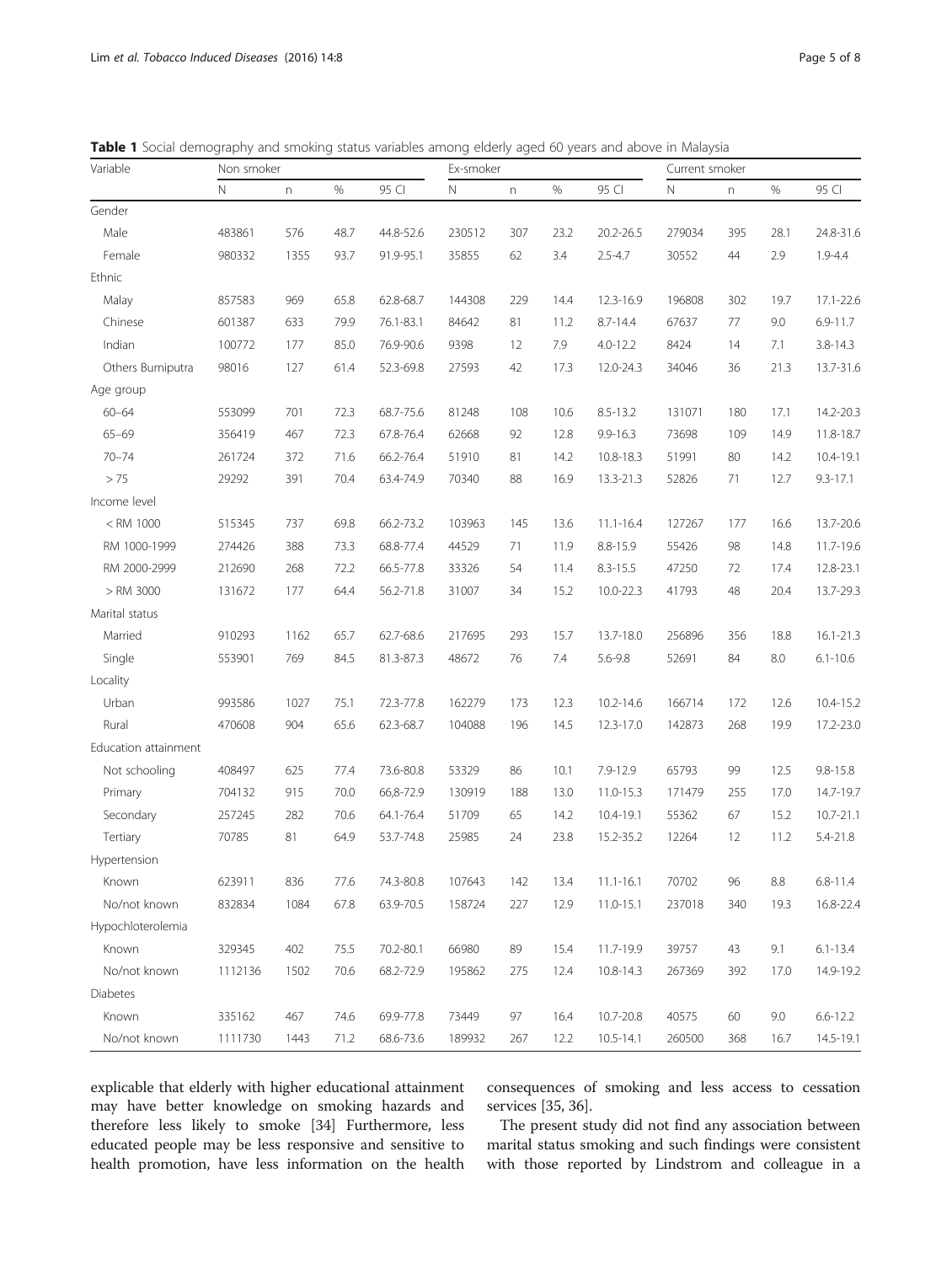| Variable             | Non smoker   |      |      | Ex-smoker |            |     | Current smoker |               |                     |     |         |               |
|----------------------|--------------|------|------|-----------|------------|-----|----------------|---------------|---------------------|-----|---------|---------------|
|                      | $\mathsf{N}$ | n    | %    | 95 CI     | $\hbox{N}$ | n   | $\%$           | 95 CI         | $\mathsf{N}\xspace$ | n   | $\%$    | 95 CI         |
| Gender               |              |      |      |           |            |     |                |               |                     |     |         |               |
| Male                 | 483861       | 576  | 48.7 | 44.8-52.6 | 230512     | 307 | 23.2           | 20.2-26.5     | 279034              | 395 | 28.1    | 24.8-31.6     |
| Female               | 980332       | 1355 | 93.7 | 91.9-95.1 | 35855      | 62  | 3.4            | $2.5 - 4.7$   | 30552               | 44  | 2.9     | 1.9-4.4       |
| Ethnic               |              |      |      |           |            |     |                |               |                     |     |         |               |
| Malay                | 857583       | 969  | 65.8 | 62.8-68.7 | 144308     | 229 | 14.4           | 12.3-16.9     | 196808              | 302 | 19.7    | 17.1-22.6     |
| Chinese              | 601387       | 633  | 79.9 | 76.1-83.1 | 84642      | 81  | 11.2           | 8.7-14.4      | 67637               | 77  | 9.0     | $6.9 - 11.7$  |
| Indian               | 100772       | 177  | 85.0 | 76.9-90.6 | 9398       | 12  | 7.9            | $4.0 - 12.2$  | 8424                | 14  | 7.1     | $3.8 - 14.3$  |
| Others Bumiputra     | 98016        | 127  | 61.4 | 52.3-69.8 | 27593      | 42  | 17.3           | 12.0-24.3     | 34046               | 36  | 21.3    | 13.7-31.6     |
| Age group            |              |      |      |           |            |     |                |               |                     |     |         |               |
| $60 - 64$            | 553099       | 701  | 72.3 | 68.7-75.6 | 81248      | 108 | 10.6           | $8.5 - 13.2$  | 131071              | 180 | 17.1    | 14.2-20.3     |
| $65 - 69$            | 356419       | 467  | 72.3 | 67.8-76.4 | 62668      | 92  | 12.8           | $9.9 - 16.3$  | 73698               | 109 | 14.9    | 11.8-18.7     |
| $70 - 74$            | 261724       | 372  | 71.6 | 66.2-76.4 | 51910      | 81  | 14.2           | 10.8-18.3     | 51991               | 80  | 14.2    | 10.4-19.1     |
| > 75                 | 29292        | 391  | 70.4 | 63.4-74.9 | 70340      | 88  | 16.9           | 13.3-21.3     | 52826               | 71  | 12.7    | $9.3 - 17.1$  |
| Income level         |              |      |      |           |            |     |                |               |                     |     |         |               |
| $<$ RM 1000          | 515345       | 737  | 69.8 | 66.2-73.2 | 103963     | 145 | 13.6           | $11.1 - 16.4$ | 127267              | 177 | 16.6    | 13.7-20.6     |
| RM 1000-1999         | 274426       | 388  | 73.3 | 68.8-77.4 | 44529      | 71  | 11.9           | 8.8-15.9      | 55426               | 98  | 14.8    | 11.7-19.6     |
| RM 2000-2999         | 212690       | 268  | 72.2 | 66.5-77.8 | 33326      | 54  | 11.4           | $8.3 - 15.5$  | 47250               | 72  | 17.4    | 12.8-23.1     |
| $>$ RM 3000          | 131672       | 177  | 64.4 | 56.2-71.8 | 31007      | 34  | 15.2           | 10.0-22.3     | 41793               | 48  | 20.4    | 13.7-29.3     |
| Marital status       |              |      |      |           |            |     |                |               |                     |     |         |               |
| Married              | 910293       | 1162 | 65.7 | 62.7-68.6 | 217695     | 293 | 15.7           | 13.7-18.0     | 256896              | 356 | 18.8    | $16.1 - 21.3$ |
| Single               | 553901       | 769  | 84.5 | 81.3-87.3 | 48672      | 76  | 7.4            | $5.6 - 9.8$   | 52691               | 84  | 8.0     | $6.1 - 10.6$  |
| Locality             |              |      |      |           |            |     |                |               |                     |     |         |               |
| Urban                | 993586       | 1027 | 75.1 | 72.3-77.8 | 162279     | 173 | 12.3           | 10.2-14.6     | 166714              | 172 | 12.6    | 10.4-15.2     |
| Rural                | 470608       | 904  | 65.6 | 62.3-68.7 | 104088     | 196 | 14.5           | 12.3-17.0     | 142873              | 268 | 19.9    | 17.2-23.0     |
| Education attainment |              |      |      |           |            |     |                |               |                     |     |         |               |
| Not schooling        | 408497       | 625  | 77.4 | 73.6-80.8 | 53329      | 86  | 10.1           | 7.9-12.9      | 65793               | 99  | 12.5    | $9.8 - 15.8$  |
| Primary              | 704132       | 915  | 70.0 | 66,8-72.9 | 130919     | 188 | 13.0           | 11.0-15.3     | 171479              | 255 | 17.0    | 14.7-19.7     |
| Secondary            | 257245       | 282  | 70.6 | 64.1-76.4 | 51709      | 65  | 14.2           | 10.4-19.1     | 55362               | 67  | 15.2    | $10.7 - 21.1$ |
| Tertiary             | 70785        | 81   | 64.9 | 53.7-74.8 | 25985      | 24  | 23.8           | 15.2-35.2     | 12264               | 12  | 11.2    | 5.4-21.8      |
| Hypertension         |              |      |      |           |            |     |                |               |                     |     |         |               |
| Known                | 623911       | 836  | 77.6 | 74.3-80.8 | 107643     | 142 | 13.4           | $11.1 - 16.1$ | 70702               | 96  | $8.8\,$ | $6.8 - 11.4$  |
| No/not known         | 832834       | 1084 | 67.8 | 63.9-70.5 | 158724     | 227 | 12.9           | 11.0-15.1     | 237018              | 340 | 19.3    | 16.8-22.4     |
| Hypochloterolemia    |              |      |      |           |            |     |                |               |                     |     |         |               |
| Known                | 329345       | 402  | 75.5 | 70.2-80.1 | 66980      | 89  | 15.4           | 11.7-19.9     | 39757               | 43  | 9.1     | $6.1 - 13.4$  |
| No/not known         | 1112136      | 1502 | 70.6 | 68.2-72.9 | 195862     | 275 | 12.4           | 10.8-14.3     | 267369              | 392 | 17.0    | 14.9-19.2     |
| Diabetes             |              |      |      |           |            |     |                |               |                     |     |         |               |
| Known                | 335162       | 467  | 74.6 | 69.9-77.8 | 73449      | 97  | 16.4           | 10.7-20.8     | 40575               | 60  | 9.0     | $6.6 - 12.2$  |
| No/not known         | 1111730      | 1443 | 71.2 | 68.6-73.6 | 189932     | 267 | 12.2           | $10.5 - 14.1$ | 260500              | 368 | 16.7    | 14.5-19.1     |

<span id="page-4-0"></span>Table 1 Social demography and smoking status variables among elderly aged 60 years and above in Malaysia

explicable that elderly with higher educational attainment may have better knowledge on smoking hazards and therefore less likely to smoke [\[34](#page-7-0)] Furthermore, less educated people may be less responsive and sensitive to health promotion, have less information on the health consequences of smoking and less access to cessation services [[35](#page-7-0), [36](#page-7-0)].

The present study did not find any association between marital status smoking and such findings were consistent with those reported by Lindstrom and colleague in a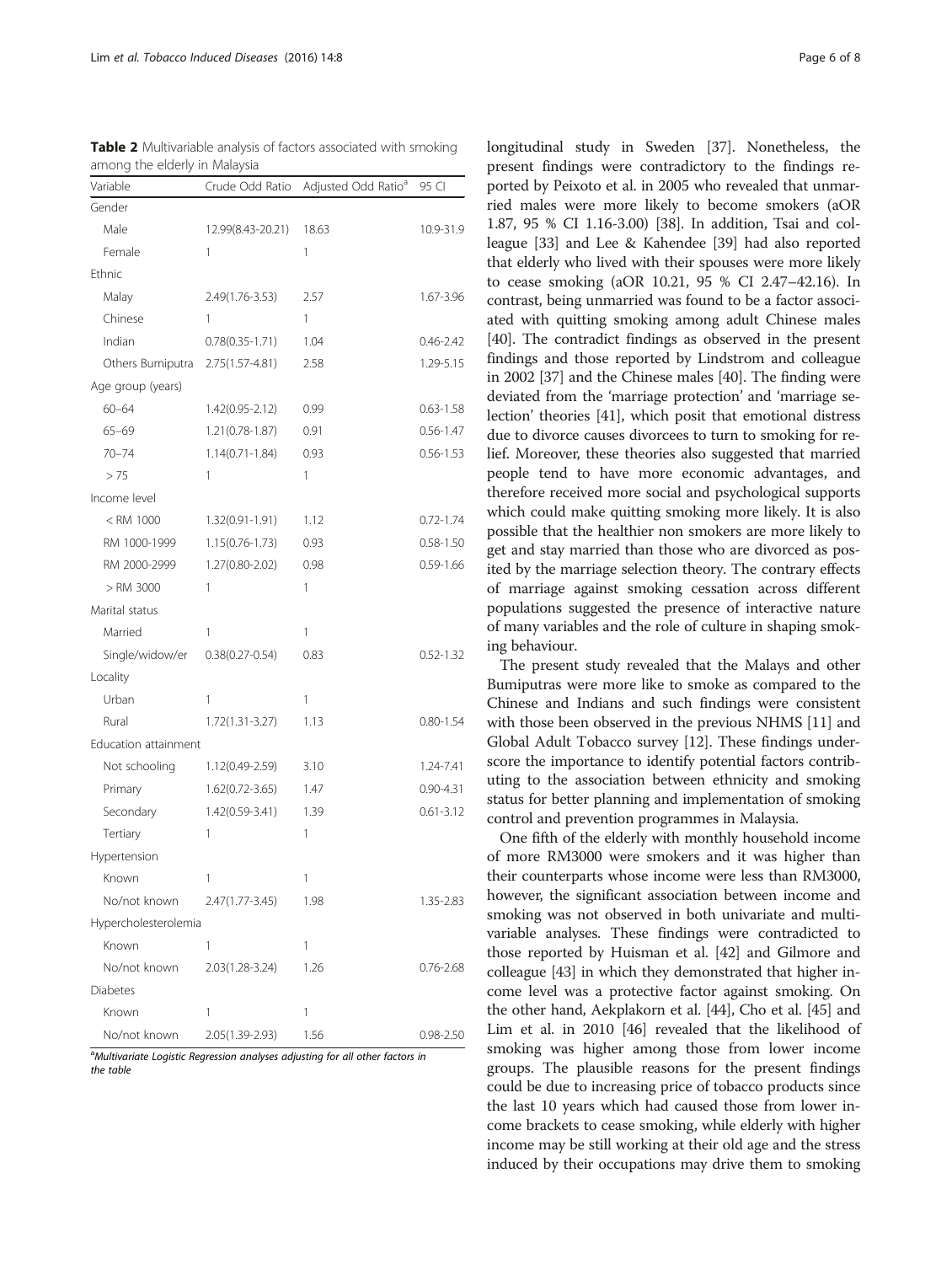| Variable             | Crude Odd Ratio     | Adjusted Odd Ratio <sup>a</sup> | 95 CI         |
|----------------------|---------------------|---------------------------------|---------------|
| Gender               |                     |                                 |               |
| Male                 | 12.99(8.43-20.21)   | 18.63                           | 10.9-31.9     |
| Female               | 1                   | 1                               |               |
| Ethnic               |                     |                                 |               |
| Malay                | 2.49(1.76-3.53)     | 2.57                            | 1.67-3.96     |
| Chinese              | 1                   | 1                               |               |
| Indian               | $0.78(0.35 - 1.71)$ | 1.04                            | $0.46 - 2.42$ |
| Others Bumiputra     | 2.75(1.57-4.81)     | 2.58                            | 1.29-5.15     |
| Age group (years)    |                     |                                 |               |
| $60 - 64$            | 1.42(0.95-2.12)     | 0.99                            | $0.63 - 1.58$ |
| $65 - 69$            | $1.21(0.78-1.87)$   | 0.91                            | $0.56 - 1.47$ |
| $70 - 74$            | $1.14(0.71 - 1.84)$ | 0.93                            | $0.56 - 1.53$ |
| > 75                 | 1                   | 1                               |               |
| Income level         |                     |                                 |               |
| $<$ RM 1000          | 1.32(0.91-1.91)     | 1.12                            | $0.72 - 1.74$ |
| RM 1000-1999         | $1.15(0.76 - 1.73)$ | 0.93                            | $0.58 - 1.50$ |
| RM 2000-2999         | 1.27(0.80-2.02)     | 0.98                            | $0.59 - 1.66$ |
| $>$ RM 3000          | 1                   | 1                               |               |
| Marital status       |                     |                                 |               |
| Married              | 1                   | 1                               |               |
| Single/widow/er      | $0.38(0.27 - 0.54)$ | 0.83                            | $0.52 - 1.32$ |
| Locality             |                     |                                 |               |
| Urban                | 1                   | 1                               |               |
| Rural                | $1.72(1.31 - 3.27)$ | 1.13                            | $0.80 - 1.54$ |
| Education attainment |                     |                                 |               |
| Not schooling        | $1.12(0.49 - 2.59)$ | 3.10                            | 1.24-7.41     |
| Primary              | $1.62(0.72 - 3.65)$ | 1.47                            | $0.90 - 4.31$ |
| Secondary            | 1.42(0.59-3.41)     | 1.39                            | $0.61 - 3.12$ |
| Tertiary             | 1                   | 1                               |               |
| Hypertension         |                     |                                 |               |
| Known                |                     |                                 |               |
| No/not known         | $2.47(1.77 - 3.45)$ | 1.98                            | 1.35-2.83     |
| Hypercholesterolemia |                     |                                 |               |
| Known                | 1                   | 1                               |               |
| No/not known         | $2.03(1.28 - 3.24)$ | 1.26                            | $0.76 - 2.68$ |
| Diabetes             |                     |                                 |               |
| Known                | 1                   | 1                               |               |
| No/not known         | 2.05(1.39-2.93)     | 1.56                            | 0.98-2.50     |

<span id="page-5-0"></span>Table 2 Multivariable analysis of factors associated with smoking among the elderly in Malaysia

<sup>a</sup>Multivariate Logistic Regression analyses adjusting for all other factors in the table

longitudinal study in Sweden [\[37\]](#page-7-0). Nonetheless, the present findings were contradictory to the findings reported by Peixoto et al. in 2005 who revealed that unmarried males were more likely to become smokers (aOR 1.87, 95 % CI 1.16-3.00) [\[38\]](#page-7-0). In addition, Tsai and colleague [\[33\]](#page-7-0) and Lee & Kahendee [\[39\]](#page-7-0) had also reported that elderly who lived with their spouses were more likely to cease smoking (aOR 10.21, 95 % CI 2.47–42.16). In contrast, being unmarried was found to be a factor associated with quitting smoking among adult Chinese males [[40](#page-7-0)]. The contradict findings as observed in the present findings and those reported by Lindstrom and colleague in 2002 [\[37](#page-7-0)] and the Chinese males [\[40\]](#page-7-0). The finding were deviated from the 'marriage protection' and 'marriage selection' theories [\[41\]](#page-7-0), which posit that emotional distress due to divorce causes divorcees to turn to smoking for relief. Moreover, these theories also suggested that married people tend to have more economic advantages, and therefore received more social and psychological supports which could make quitting smoking more likely. It is also possible that the healthier non smokers are more likely to get and stay married than those who are divorced as posited by the marriage selection theory. The contrary effects of marriage against smoking cessation across different populations suggested the presence of interactive nature of many variables and the role of culture in shaping smoking behaviour.

The present study revealed that the Malays and other Bumiputras were more like to smoke as compared to the Chinese and Indians and such findings were consistent with those been observed in the previous NHMS [\[11\]](#page-6-0) and Global Adult Tobacco survey [\[12\]](#page-6-0). These findings underscore the importance to identify potential factors contributing to the association between ethnicity and smoking status for better planning and implementation of smoking control and prevention programmes in Malaysia.

One fifth of the elderly with monthly household income of more RM3000 were smokers and it was higher than their counterparts whose income were less than RM3000, however, the significant association between income and smoking was not observed in both univariate and multivariable analyses. These findings were contradicted to those reported by Huisman et al. [[42](#page-7-0)] and Gilmore and colleague [\[43\]](#page-7-0) in which they demonstrated that higher income level was a protective factor against smoking. On the other hand, Aekplakorn et al. [[44\]](#page-7-0), Cho et al. [\[45\]](#page-7-0) and Lim et al. in 2010 [\[46\]](#page-7-0) revealed that the likelihood of smoking was higher among those from lower income groups. The plausible reasons for the present findings could be due to increasing price of tobacco products since the last 10 years which had caused those from lower income brackets to cease smoking, while elderly with higher income may be still working at their old age and the stress induced by their occupations may drive them to smoking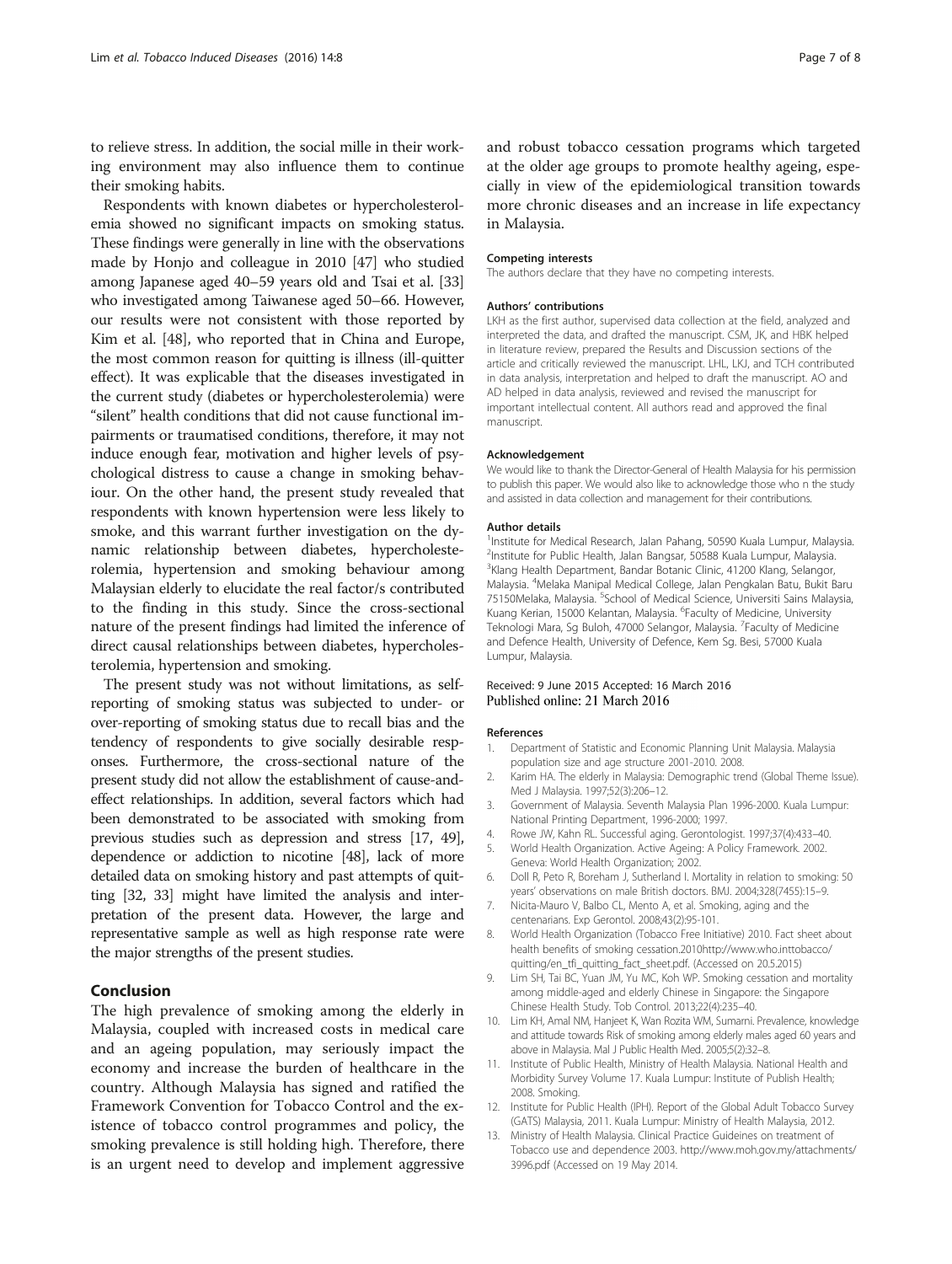<span id="page-6-0"></span>to relieve stress. In addition, the social mille in their working environment may also influence them to continue their smoking habits.

Respondents with known diabetes or hypercholesterolemia showed no significant impacts on smoking status. These findings were generally in line with the observations made by Honjo and colleague in 2010 [[47](#page-7-0)] who studied among Japanese aged 40–59 years old and Tsai et al. [[33](#page-7-0)] who investigated among Taiwanese aged 50–66. However, our results were not consistent with those reported by Kim et al. [[48](#page-7-0)], who reported that in China and Europe, the most common reason for quitting is illness (ill-quitter effect). It was explicable that the diseases investigated in the current study (diabetes or hypercholesterolemia) were "silent" health conditions that did not cause functional impairments or traumatised conditions, therefore, it may not induce enough fear, motivation and higher levels of psychological distress to cause a change in smoking behaviour. On the other hand, the present study revealed that respondents with known hypertension were less likely to smoke, and this warrant further investigation on the dynamic relationship between diabetes, hypercholesterolemia, hypertension and smoking behaviour among Malaysian elderly to elucidate the real factor/s contributed to the finding in this study. Since the cross-sectional nature of the present findings had limited the inference of direct causal relationships between diabetes, hypercholesterolemia, hypertension and smoking.

The present study was not without limitations, as selfreporting of smoking status was subjected to under- or over-reporting of smoking status due to recall bias and the tendency of respondents to give socially desirable responses. Furthermore, the cross-sectional nature of the present study did not allow the establishment of cause-andeffect relationships. In addition, several factors which had been demonstrated to be associated with smoking from previous studies such as depression and stress [\[17, 49](#page-7-0)], dependence or addiction to nicotine [[48](#page-7-0)], lack of more detailed data on smoking history and past attempts of quitting [[32](#page-7-0), [33\]](#page-7-0) might have limited the analysis and interpretation of the present data. However, the large and representative sample as well as high response rate were the major strengths of the present studies.

## Conclusion

The high prevalence of smoking among the elderly in Malaysia, coupled with increased costs in medical care and an ageing population, may seriously impact the economy and increase the burden of healthcare in the country. Although Malaysia has signed and ratified the Framework Convention for Tobacco Control and the existence of tobacco control programmes and policy, the smoking prevalence is still holding high. Therefore, there is an urgent need to develop and implement aggressive

and robust tobacco cessation programs which targeted at the older age groups to promote healthy ageing, especially in view of the epidemiological transition towards more chronic diseases and an increase in life expectancy in Malaysia.

#### Competing interests

The authors declare that they have no competing interests.

#### Authors' contributions

LKH as the first author, supervised data collection at the field, analyzed and interpreted the data, and drafted the manuscript. CSM, JK, and HBK helped in literature review, prepared the Results and Discussion sections of the article and critically reviewed the manuscript. LHL, LKJ, and TCH contributed in data analysis, interpretation and helped to draft the manuscript. AO and AD helped in data analysis, reviewed and revised the manuscript for important intellectual content. All authors read and approved the final manuscript.

#### Acknowledgement

We would like to thank the Director-General of Health Malaysia for his permission to publish this paper. We would also like to acknowledge those who n the study and assisted in data collection and management for their contributions.

#### Author details

<sup>1</sup>Institute for Medical Research, Jalan Pahang, 50590 Kuala Lumpur, Malaysia. <sup>2</sup>Institute for Public Health, Jalan Bangsar, 50588 Kuala Lumpur, Malaysia. <sup>3</sup>Klang Health Department, Bandar Botanic Clinic, 41200 Klang, Selangor Malaysia. <sup>4</sup> Melaka Manipal Medical College, Jalan Pengkalan Batu, Bukit Baru 75150Melaka, Malaysia. <sup>5</sup>School of Medical Science, Universiti Sains Malaysia Kuang Kerian, 15000 Kelantan, Malaysia. <sup>6</sup> Faculty of Medicine, University Teknologi Mara, Sg Buloh, 47000 Selangor, Malaysia. <sup>7</sup>Faculty of Medicine and Defence Health, University of Defence, Kem Sg. Besi, 57000 Kuala Lumpur, Malaysia.

#### Received: 9 June 2015 Accepted: 16 March 2016 Published online: 21 March 2016

#### References

- 1. Department of Statistic and Economic Planning Unit Malaysia. Malaysia population size and age structure 2001-2010. 2008.
- 2. Karim HA. The elderly in Malaysia: Demographic trend (Global Theme Issue). Med J Malaysia. 1997;52(3):206–12.
- 3. Government of Malaysia. Seventh Malaysia Plan 1996-2000. Kuala Lumpur: National Printing Department, 1996-2000; 1997.
- 4. Rowe JW, Kahn RL. Successful aging. Gerontologist. 1997;37(4):433–40.
- 5. World Health Organization. Active Ageing: A Policy Framework. 2002. Geneva: World Health Organization; 2002.
- 6. Doll R, Peto R, Boreham J, Sutherland I. Mortality in relation to smoking: 50 years' observations on male British doctors. BMJ. 2004;328(7455):15–9.
- 7. Nicita-Mauro V, Balbo CL, Mento A, et al. Smoking, aging and the centenarians. Exp Gerontol. 2008;43(2):95-101.
- 8. World Health Organization (Tobacco Free Initiative) 2010. Fact sheet about health benefits of smoking cessation.201[0http://www.who.inttobacco/](http://www.who.inttobacco/quitting/en_tfi_quitting_fact_sheet.pdf.) [quitting/en\\_tfi\\_quitting\\_fact\\_sheet.pdf.](http://www.who.inttobacco/quitting/en_tfi_quitting_fact_sheet.pdf.) (Accessed on 20.5.2015)
- 9. Lim SH, Tai BC, Yuan JM, Yu MC, Koh WP. Smoking cessation and mortality among middle-aged and elderly Chinese in Singapore: the Singapore Chinese Health Study. Tob Control. 2013;22(4):235–40.
- 10. Lim KH, Amal NM, Hanjeet K, Wan Rozita WM, Sumarni. Prevalence, knowledge and attitude towards Risk of smoking among elderly males aged 60 years and above in Malaysia. Mal J Public Health Med. 2005;5(2):32–8.
- 11. Institute of Public Health, Ministry of Health Malaysia. National Health and Morbidity Survey Volume 17. Kuala Lumpur: Institute of Publish Health; 2008. Smoking.
- 12. Institute for Public Health (IPH). Report of the Global Adult Tobacco Survey (GATS) Malaysia, 2011. Kuala Lumpur: Ministry of Health Malaysia, 2012.
- 13. Ministry of Health Malaysia. Clinical Practice Guideines on treatment of Tobacco use and dependence 2003. [http://www.moh.gov.my/attachments/](http://www.moh.gov.my/attachments/3996.pdf) [3996.pdf](http://www.moh.gov.my/attachments/3996.pdf) (Accessed on 19 May 2014.